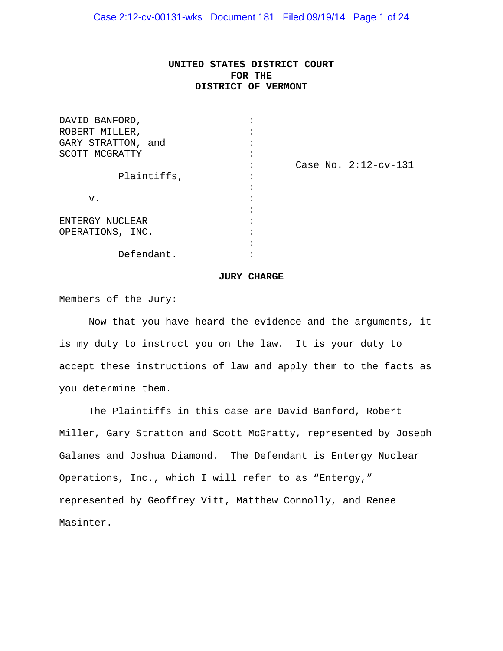# **UNITED STATES DISTRICT COURT FOR THE DISTRICT OF VERMONT**

| Case No. $2:12$ -cv-131 |
|-------------------------|
|                         |
|                         |
|                         |
|                         |
|                         |
|                         |
|                         |
|                         |
|                         |

#### **JURY CHARGE**

Members of the Jury:

 Now that you have heard the evidence and the arguments, it is my duty to instruct you on the law. It is your duty to accept these instructions of law and apply them to the facts as you determine them.

The Plaintiffs in this case are David Banford, Robert Miller, Gary Stratton and Scott McGratty, represented by Joseph Galanes and Joshua Diamond. The Defendant is Entergy Nuclear Operations, Inc., which I will refer to as "Entergy," represented by Geoffrey Vitt, Matthew Connolly, and Renee Masinter.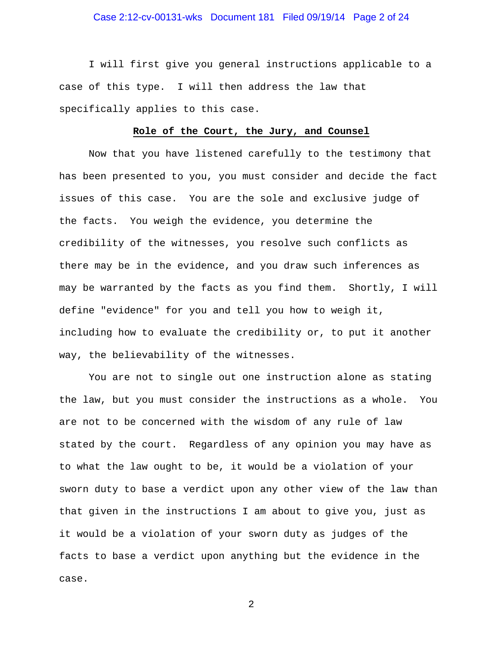## Case 2:12-cv-00131-wks Document 181 Filed 09/19/14 Page 2 of 24

I will first give you general instructions applicable to a case of this type. I will then address the law that specifically applies to this case.

#### **Role of the Court, the Jury, and Counsel**

Now that you have listened carefully to the testimony that has been presented to you, you must consider and decide the fact issues of this case. You are the sole and exclusive judge of the facts. You weigh the evidence, you determine the credibility of the witnesses, you resolve such conflicts as there may be in the evidence, and you draw such inferences as may be warranted by the facts as you find them. Shortly, I will define "evidence" for you and tell you how to weigh it, including how to evaluate the credibility or, to put it another way, the believability of the witnesses.

 You are not to single out one instruction alone as stating the law, but you must consider the instructions as a whole. You are not to be concerned with the wisdom of any rule of law stated by the court. Regardless of any opinion you may have as to what the law ought to be, it would be a violation of your sworn duty to base a verdict upon any other view of the law than that given in the instructions I am about to give you, just as it would be a violation of your sworn duty as judges of the facts to base a verdict upon anything but the evidence in the case.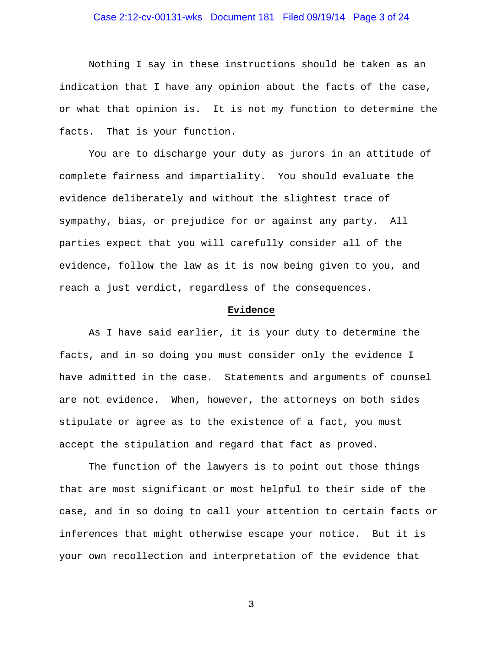## Case 2:12-cv-00131-wks Document 181 Filed 09/19/14 Page 3 of 24

 Nothing I say in these instructions should be taken as an indication that I have any opinion about the facts of the case, or what that opinion is. It is not my function to determine the facts. That is your function.

You are to discharge your duty as jurors in an attitude of complete fairness and impartiality. You should evaluate the evidence deliberately and without the slightest trace of sympathy, bias, or prejudice for or against any party. All parties expect that you will carefully consider all of the evidence, follow the law as it is now being given to you, and reach a just verdict, regardless of the consequences.

#### **Evidence**

As I have said earlier, it is your duty to determine the facts, and in so doing you must consider only the evidence I have admitted in the case. Statements and arguments of counsel are not evidence. When, however, the attorneys on both sides stipulate or agree as to the existence of a fact, you must accept the stipulation and regard that fact as proved.

 The function of the lawyers is to point out those things that are most significant or most helpful to their side of the case, and in so doing to call your attention to certain facts or inferences that might otherwise escape your notice. But it is your own recollection and interpretation of the evidence that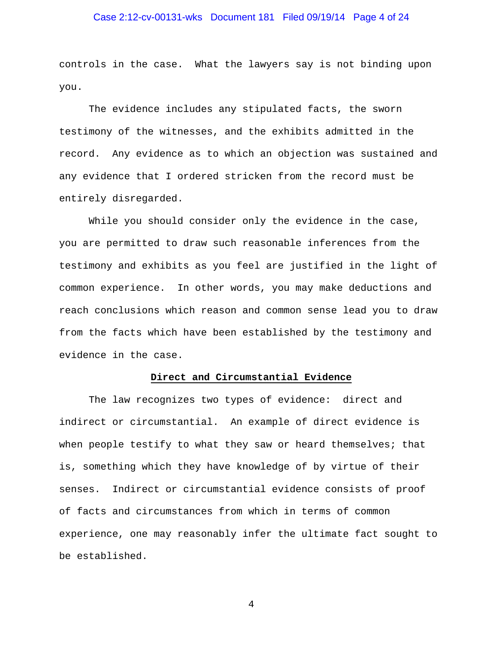## Case 2:12-cv-00131-wks Document 181 Filed 09/19/14 Page 4 of 24

controls in the case. What the lawyers say is not binding upon you.

 The evidence includes any stipulated facts, the sworn testimony of the witnesses, and the exhibits admitted in the record. Any evidence as to which an objection was sustained and any evidence that I ordered stricken from the record must be entirely disregarded.

 While you should consider only the evidence in the case, you are permitted to draw such reasonable inferences from the testimony and exhibits as you feel are justified in the light of common experience. In other words, you may make deductions and reach conclusions which reason and common sense lead you to draw from the facts which have been established by the testimony and evidence in the case.

#### **Direct and Circumstantial Evidence**

 The law recognizes two types of evidence: direct and indirect or circumstantial. An example of direct evidence is when people testify to what they saw or heard themselves; that is, something which they have knowledge of by virtue of their senses. Indirect or circumstantial evidence consists of proof of facts and circumstances from which in terms of common experience, one may reasonably infer the ultimate fact sought to be established.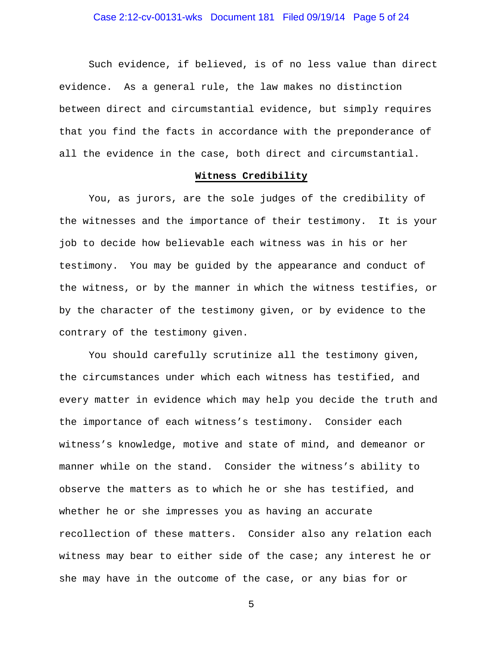## Case 2:12-cv-00131-wks Document 181 Filed 09/19/14 Page 5 of 24

 Such evidence, if believed, is of no less value than direct evidence. As a general rule, the law makes no distinction between direct and circumstantial evidence, but simply requires that you find the facts in accordance with the preponderance of all the evidence in the case, both direct and circumstantial.

#### **Witness Credibility**

 You, as jurors, are the sole judges of the credibility of the witnesses and the importance of their testimony. It is your job to decide how believable each witness was in his or her testimony. You may be guided by the appearance and conduct of the witness, or by the manner in which the witness testifies, or by the character of the testimony given, or by evidence to the contrary of the testimony given.

 You should carefully scrutinize all the testimony given, the circumstances under which each witness has testified, and every matter in evidence which may help you decide the truth and the importance of each witness's testimony. Consider each witness's knowledge, motive and state of mind, and demeanor or manner while on the stand. Consider the witness's ability to observe the matters as to which he or she has testified, and whether he or she impresses you as having an accurate recollection of these matters. Consider also any relation each witness may bear to either side of the case; any interest he or she may have in the outcome of the case, or any bias for or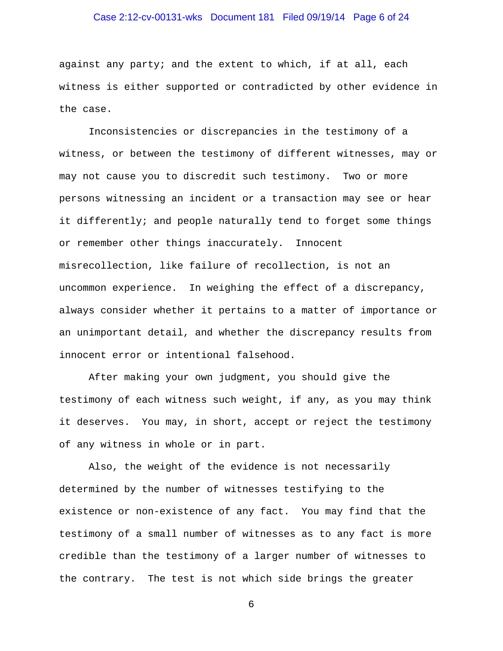## Case 2:12-cv-00131-wks Document 181 Filed 09/19/14 Page 6 of 24

against any party; and the extent to which, if at all, each witness is either supported or contradicted by other evidence in the case.

 Inconsistencies or discrepancies in the testimony of a witness, or between the testimony of different witnesses, may or may not cause you to discredit such testimony. Two or more persons witnessing an incident or a transaction may see or hear it differently; and people naturally tend to forget some things or remember other things inaccurately. Innocent misrecollection, like failure of recollection, is not an uncommon experience. In weighing the effect of a discrepancy, always consider whether it pertains to a matter of importance or an unimportant detail, and whether the discrepancy results from innocent error or intentional falsehood.

 After making your own judgment, you should give the testimony of each witness such weight, if any, as you may think it deserves. You may, in short, accept or reject the testimony of any witness in whole or in part.

 Also, the weight of the evidence is not necessarily determined by the number of witnesses testifying to the existence or non-existence of any fact. You may find that the testimony of a small number of witnesses as to any fact is more credible than the testimony of a larger number of witnesses to the contrary. The test is not which side brings the greater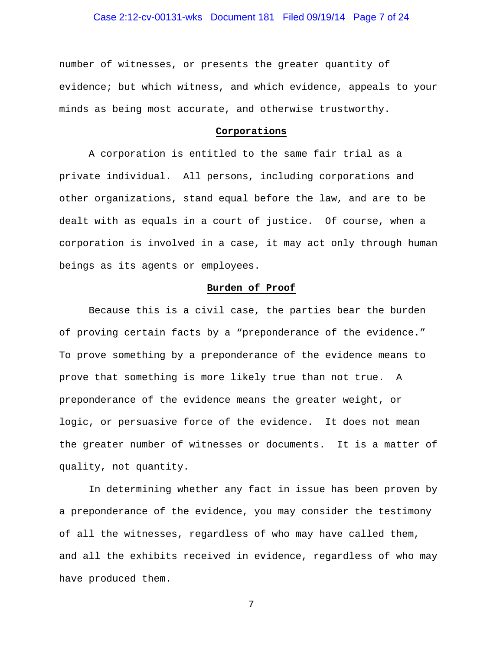## Case 2:12-cv-00131-wks Document 181 Filed 09/19/14 Page 7 of 24

number of witnesses, or presents the greater quantity of evidence; but which witness, and which evidence, appeals to your minds as being most accurate, and otherwise trustworthy.

#### **Corporations**

 A corporation is entitled to the same fair trial as a private individual. All persons, including corporations and other organizations, stand equal before the law, and are to be dealt with as equals in a court of justice. Of course, when a corporation is involved in a case, it may act only through human beings as its agents or employees.

#### **Burden of Proof**

 Because this is a civil case, the parties bear the burden of proving certain facts by a "preponderance of the evidence." To prove something by a preponderance of the evidence means to prove that something is more likely true than not true. A preponderance of the evidence means the greater weight, or logic, or persuasive force of the evidence. It does not mean the greater number of witnesses or documents. It is a matter of quality, not quantity.

 In determining whether any fact in issue has been proven by a preponderance of the evidence, you may consider the testimony of all the witnesses, regardless of who may have called them, and all the exhibits received in evidence, regardless of who may have produced them.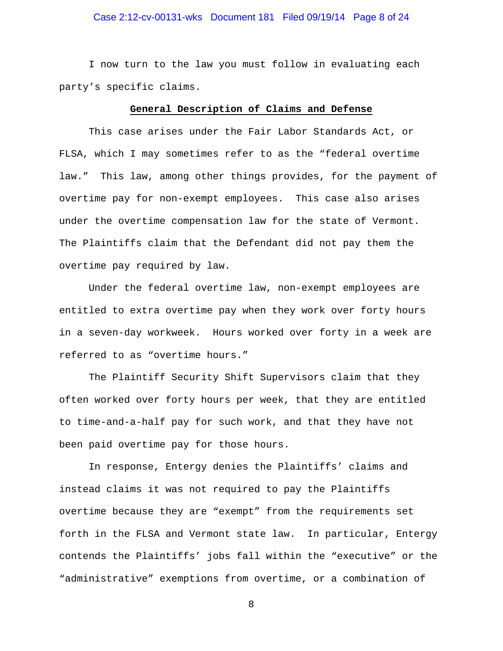## Case 2:12-cv-00131-wks Document 181 Filed 09/19/14 Page 8 of 24

 I now turn to the law you must follow in evaluating each party's specific claims.

#### **General Description of Claims and Defense**

This case arises under the Fair Labor Standards Act, or FLSA, which I may sometimes refer to as the "federal overtime law." This law, among other things provides, for the payment of overtime pay for non-exempt employees. This case also arises under the overtime compensation law for the state of Vermont. The Plaintiffs claim that the Defendant did not pay them the overtime pay required by law.

Under the federal overtime law, non-exempt employees are entitled to extra overtime pay when they work over forty hours in a seven-day workweek. Hours worked over forty in a week are referred to as "overtime hours."

The Plaintiff Security Shift Supervisors claim that they often worked over forty hours per week, that they are entitled to time-and-a-half pay for such work, and that they have not been paid overtime pay for those hours.

 In response, Entergy denies the Plaintiffs' claims and instead claims it was not required to pay the Plaintiffs overtime because they are "exempt" from the requirements set forth in the FLSA and Vermont state law. In particular, Entergy contends the Plaintiffs' jobs fall within the "executive" or the "administrative" exemptions from overtime, or a combination of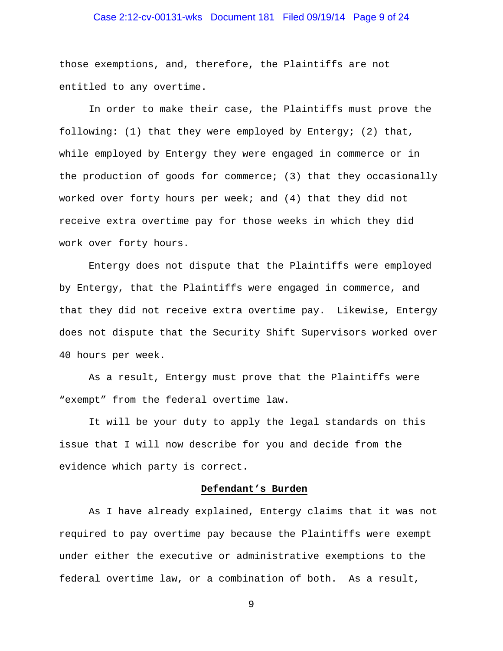## Case 2:12-cv-00131-wks Document 181 Filed 09/19/14 Page 9 of 24

those exemptions, and, therefore, the Plaintiffs are not entitled to any overtime.

In order to make their case, the Plaintiffs must prove the following: (1) that they were employed by Entergy; (2) that, while employed by Entergy they were engaged in commerce or in the production of goods for commerce; (3) that they occasionally worked over forty hours per week; and (4) that they did not receive extra overtime pay for those weeks in which they did work over forty hours.

Entergy does not dispute that the Plaintiffs were employed by Entergy, that the Plaintiffs were engaged in commerce, and that they did not receive extra overtime pay. Likewise, Entergy does not dispute that the Security Shift Supervisors worked over 40 hours per week.

As a result, Entergy must prove that the Plaintiffs were "exempt" from the federal overtime law.

It will be your duty to apply the legal standards on this issue that I will now describe for you and decide from the evidence which party is correct.

#### **Defendant's Burden**

As I have already explained, Entergy claims that it was not required to pay overtime pay because the Plaintiffs were exempt under either the executive or administrative exemptions to the federal overtime law, or a combination of both. As a result,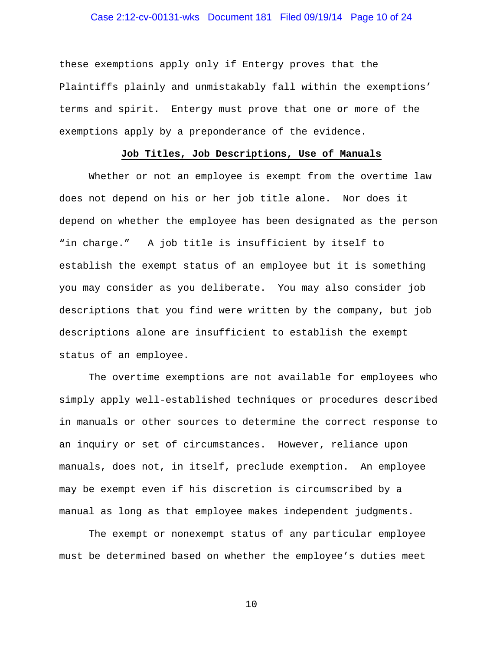## Case 2:12-cv-00131-wks Document 181 Filed 09/19/14 Page 10 of 24

these exemptions apply only if Entergy proves that the Plaintiffs plainly and unmistakably fall within the exemptions' terms and spirit. Entergy must prove that one or more of the exemptions apply by a preponderance of the evidence.

#### **Job Titles, Job Descriptions, Use of Manuals**

Whether or not an employee is exempt from the overtime law does not depend on his or her job title alone. Nor does it depend on whether the employee has been designated as the person "in charge." A job title is insufficient by itself to establish the exempt status of an employee but it is something you may consider as you deliberate. You may also consider job descriptions that you find were written by the company, but job descriptions alone are insufficient to establish the exempt status of an employee.

The overtime exemptions are not available for employees who simply apply well-established techniques or procedures described in manuals or other sources to determine the correct response to an inquiry or set of circumstances. However, reliance upon manuals, does not, in itself, preclude exemption. An employee may be exempt even if his discretion is circumscribed by a manual as long as that employee makes independent judgments.

The exempt or nonexempt status of any particular employee must be determined based on whether the employee's duties meet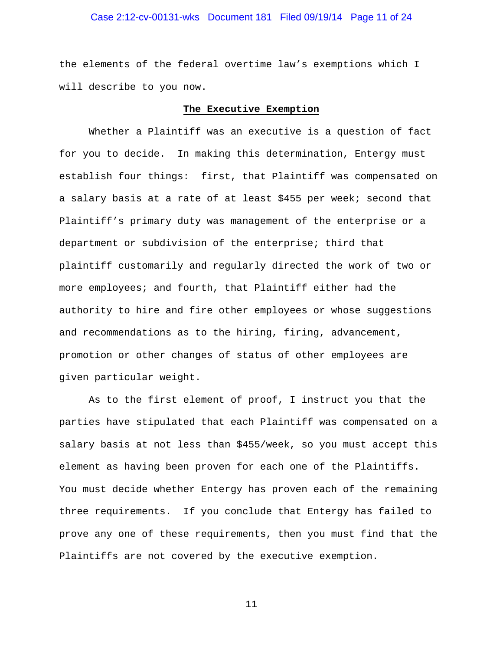## Case 2:12-cv-00131-wks Document 181 Filed 09/19/14 Page 11 of 24

the elements of the federal overtime law's exemptions which I will describe to you now.

#### **The Executive Exemption**

Whether a Plaintiff was an executive is a question of fact for you to decide. In making this determination, Entergy must establish four things: first, that Plaintiff was compensated on a salary basis at a rate of at least \$455 per week; second that Plaintiff's primary duty was management of the enterprise or a department or subdivision of the enterprise; third that plaintiff customarily and regularly directed the work of two or more employees; and fourth, that Plaintiff either had the authority to hire and fire other employees or whose suggestions and recommendations as to the hiring, firing, advancement, promotion or other changes of status of other employees are given particular weight.

As to the first element of proof, I instruct you that the parties have stipulated that each Plaintiff was compensated on a salary basis at not less than \$455/week, so you must accept this element as having been proven for each one of the Plaintiffs. You must decide whether Entergy has proven each of the remaining three requirements. If you conclude that Entergy has failed to prove any one of these requirements, then you must find that the Plaintiffs are not covered by the executive exemption.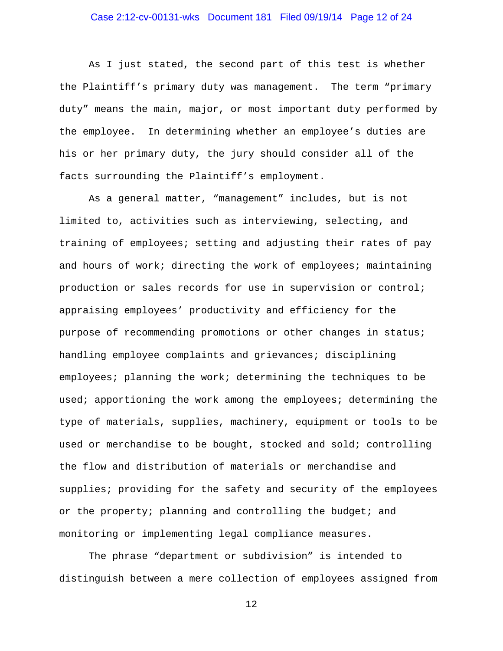## Case 2:12-cv-00131-wks Document 181 Filed 09/19/14 Page 12 of 24

As I just stated, the second part of this test is whether the Plaintiff's primary duty was management. The term "primary duty" means the main, major, or most important duty performed by the employee. In determining whether an employee's duties are his or her primary duty, the jury should consider all of the facts surrounding the Plaintiff's employment.

As a general matter, "management" includes, but is not limited to, activities such as interviewing, selecting, and training of employees; setting and adjusting their rates of pay and hours of work; directing the work of employees; maintaining production or sales records for use in supervision or control; appraising employees' productivity and efficiency for the purpose of recommending promotions or other changes in status; handling employee complaints and grievances; disciplining employees; planning the work; determining the techniques to be used; apportioning the work among the employees; determining the type of materials, supplies, machinery, equipment or tools to be used or merchandise to be bought, stocked and sold; controlling the flow and distribution of materials or merchandise and supplies; providing for the safety and security of the employees or the property; planning and controlling the budget; and monitoring or implementing legal compliance measures.

The phrase "department or subdivision" is intended to distinguish between a mere collection of employees assigned from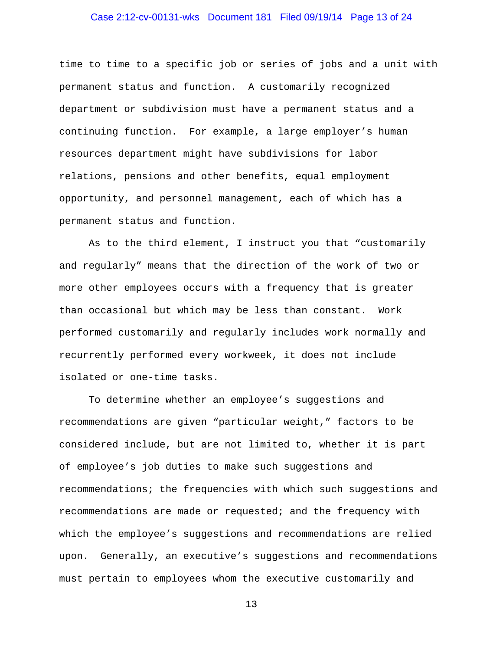## Case 2:12-cv-00131-wks Document 181 Filed 09/19/14 Page 13 of 24

time to time to a specific job or series of jobs and a unit with permanent status and function. A customarily recognized department or subdivision must have a permanent status and a continuing function. For example, a large employer's human resources department might have subdivisions for labor relations, pensions and other benefits, equal employment opportunity, and personnel management, each of which has a permanent status and function.

As to the third element, I instruct you that "customarily and regularly" means that the direction of the work of two or more other employees occurs with a frequency that is greater than occasional but which may be less than constant. Work performed customarily and regularly includes work normally and recurrently performed every workweek, it does not include isolated or one-time tasks.

To determine whether an employee's suggestions and recommendations are given "particular weight," factors to be considered include, but are not limited to, whether it is part of employee's job duties to make such suggestions and recommendations; the frequencies with which such suggestions and recommendations are made or requested; and the frequency with which the employee's suggestions and recommendations are relied upon. Generally, an executive's suggestions and recommendations must pertain to employees whom the executive customarily and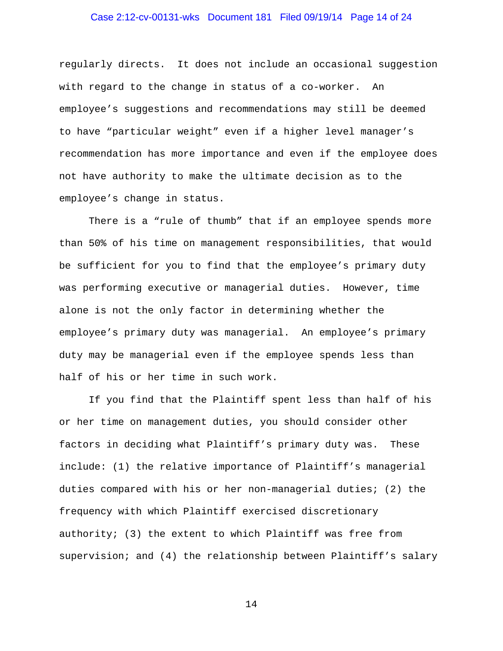## Case 2:12-cv-00131-wks Document 181 Filed 09/19/14 Page 14 of 24

regularly directs. It does not include an occasional suggestion with regard to the change in status of a co-worker. An employee's suggestions and recommendations may still be deemed to have "particular weight" even if a higher level manager's recommendation has more importance and even if the employee does not have authority to make the ultimate decision as to the employee's change in status.

There is a "rule of thumb" that if an employee spends more than 50% of his time on management responsibilities, that would be sufficient for you to find that the employee's primary duty was performing executive or managerial duties. However, time alone is not the only factor in determining whether the employee's primary duty was managerial. An employee's primary duty may be managerial even if the employee spends less than half of his or her time in such work.

If you find that the Plaintiff spent less than half of his or her time on management duties, you should consider other factors in deciding what Plaintiff's primary duty was. These include: (1) the relative importance of Plaintiff's managerial duties compared with his or her non-managerial duties; (2) the frequency with which Plaintiff exercised discretionary authority; (3) the extent to which Plaintiff was free from supervision; and (4) the relationship between Plaintiff's salary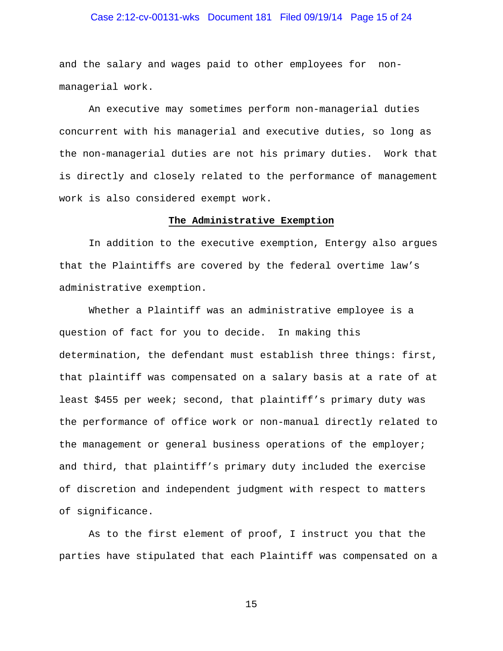## Case 2:12-cv-00131-wks Document 181 Filed 09/19/14 Page 15 of 24

and the salary and wages paid to other employees for nonmanagerial work.

An executive may sometimes perform non-managerial duties concurrent with his managerial and executive duties, so long as the non-managerial duties are not his primary duties. Work that is directly and closely related to the performance of management work is also considered exempt work.

#### **The Administrative Exemption**

In addition to the executive exemption, Entergy also argues that the Plaintiffs are covered by the federal overtime law's administrative exemption.

Whether a Plaintiff was an administrative employee is a question of fact for you to decide. In making this determination, the defendant must establish three things: first, that plaintiff was compensated on a salary basis at a rate of at least \$455 per week; second, that plaintiff's primary duty was the performance of office work or non-manual directly related to the management or general business operations of the employer; and third, that plaintiff's primary duty included the exercise of discretion and independent judgment with respect to matters of significance.

As to the first element of proof, I instruct you that the parties have stipulated that each Plaintiff was compensated on a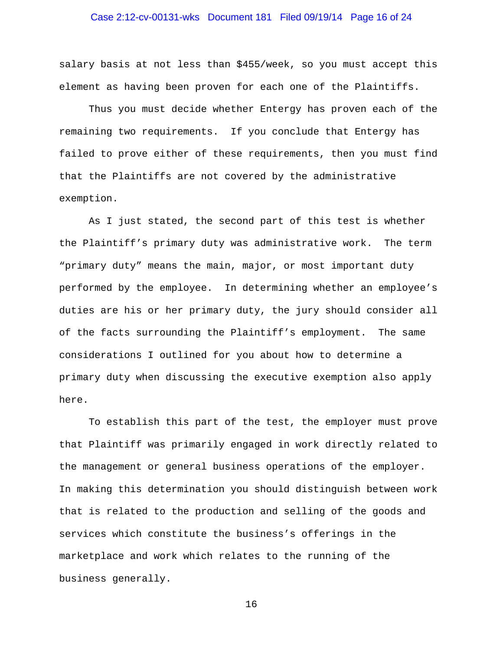## Case 2:12-cv-00131-wks Document 181 Filed 09/19/14 Page 16 of 24

salary basis at not less than \$455/week, so you must accept this element as having been proven for each one of the Plaintiffs.

Thus you must decide whether Entergy has proven each of the remaining two requirements. If you conclude that Entergy has failed to prove either of these requirements, then you must find that the Plaintiffs are not covered by the administrative exemption.

As I just stated, the second part of this test is whether the Plaintiff's primary duty was administrative work. The term "primary duty" means the main, major, or most important duty performed by the employee. In determining whether an employee's duties are his or her primary duty, the jury should consider all of the facts surrounding the Plaintiff's employment. The same considerations I outlined for you about how to determine a primary duty when discussing the executive exemption also apply here.

To establish this part of the test, the employer must prove that Plaintiff was primarily engaged in work directly related to the management or general business operations of the employer. In making this determination you should distinguish between work that is related to the production and selling of the goods and services which constitute the business's offerings in the marketplace and work which relates to the running of the business generally.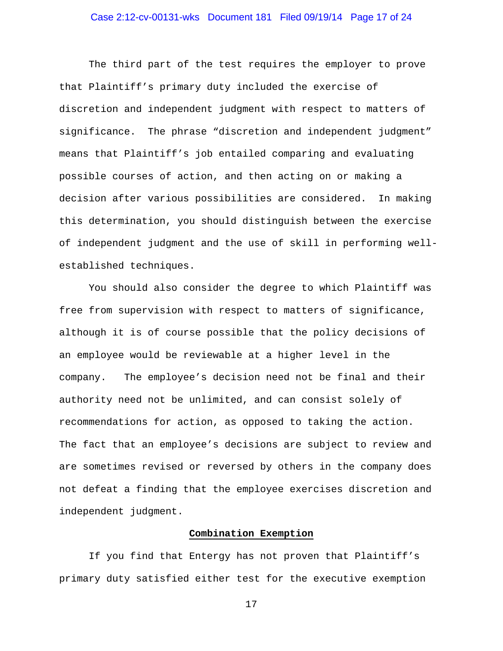## Case 2:12-cv-00131-wks Document 181 Filed 09/19/14 Page 17 of 24

The third part of the test requires the employer to prove that Plaintiff's primary duty included the exercise of discretion and independent judgment with respect to matters of significance. The phrase "discretion and independent judgment" means that Plaintiff's job entailed comparing and evaluating possible courses of action, and then acting on or making a decision after various possibilities are considered. In making this determination, you should distinguish between the exercise of independent judgment and the use of skill in performing wellestablished techniques.

You should also consider the degree to which Plaintiff was free from supervision with respect to matters of significance, although it is of course possible that the policy decisions of an employee would be reviewable at a higher level in the company. The employee's decision need not be final and their authority need not be unlimited, and can consist solely of recommendations for action, as opposed to taking the action. The fact that an employee's decisions are subject to review and are sometimes revised or reversed by others in the company does not defeat a finding that the employee exercises discretion and independent judgment.

#### **Combination Exemption**

 If you find that Entergy has not proven that Plaintiff's primary duty satisfied either test for the executive exemption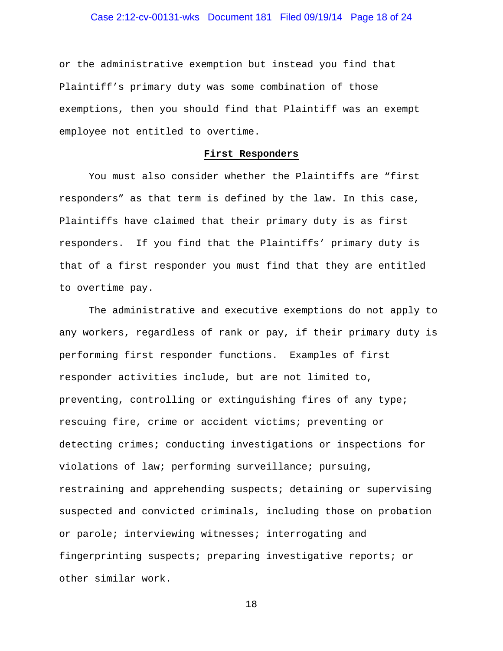## Case 2:12-cv-00131-wks Document 181 Filed 09/19/14 Page 18 of 24

or the administrative exemption but instead you find that Plaintiff's primary duty was some combination of those exemptions, then you should find that Plaintiff was an exempt employee not entitled to overtime.

#### **First Responders**

You must also consider whether the Plaintiffs are "first responders" as that term is defined by the law. In this case, Plaintiffs have claimed that their primary duty is as first responders. If you find that the Plaintiffs' primary duty is that of a first responder you must find that they are entitled to overtime pay.

The administrative and executive exemptions do not apply to any workers, regardless of rank or pay, if their primary duty is performing first responder functions. Examples of first responder activities include, but are not limited to, preventing, controlling or extinguishing fires of any type; rescuing fire, crime or accident victims; preventing or detecting crimes; conducting investigations or inspections for violations of law; performing surveillance; pursuing, restraining and apprehending suspects; detaining or supervising suspected and convicted criminals, including those on probation or parole; interviewing witnesses; interrogating and fingerprinting suspects; preparing investigative reports; or other similar work.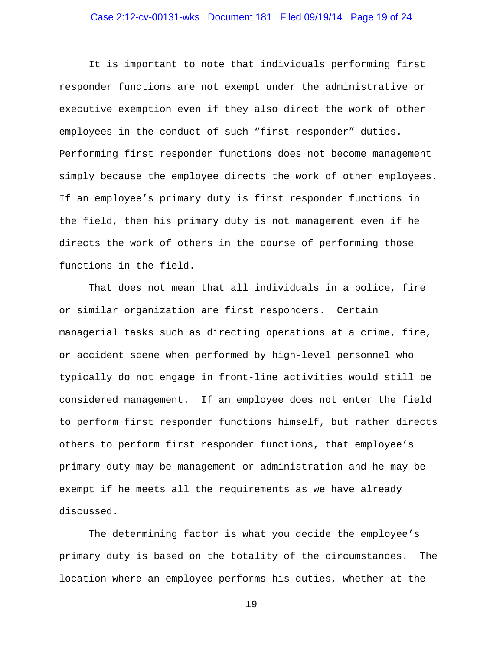## Case 2:12-cv-00131-wks Document 181 Filed 09/19/14 Page 19 of 24

It is important to note that individuals performing first responder functions are not exempt under the administrative or executive exemption even if they also direct the work of other employees in the conduct of such "first responder" duties. Performing first responder functions does not become management simply because the employee directs the work of other employees. If an employee's primary duty is first responder functions in the field, then his primary duty is not management even if he directs the work of others in the course of performing those functions in the field.

That does not mean that all individuals in a police, fire or similar organization are first responders. Certain managerial tasks such as directing operations at a crime, fire, or accident scene when performed by high-level personnel who typically do not engage in front-line activities would still be considered management. If an employee does not enter the field to perform first responder functions himself, but rather directs others to perform first responder functions, that employee's primary duty may be management or administration and he may be exempt if he meets all the requirements as we have already discussed.

The determining factor is what you decide the employee's primary duty is based on the totality of the circumstances. The location where an employee performs his duties, whether at the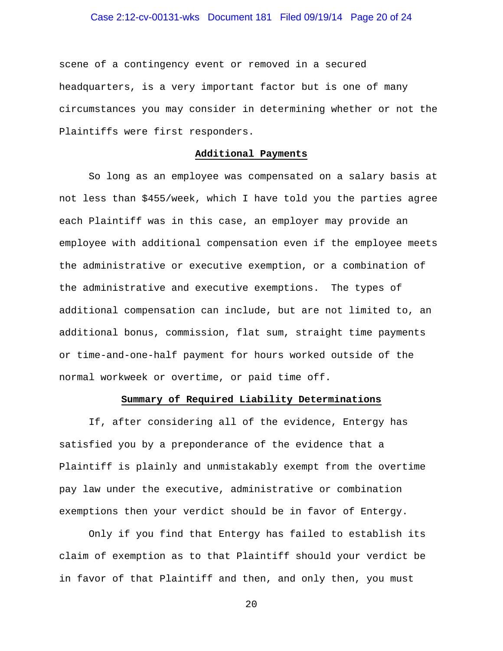## Case 2:12-cv-00131-wks Document 181 Filed 09/19/14 Page 20 of 24

scene of a contingency event or removed in a secured headquarters, is a very important factor but is one of many circumstances you may consider in determining whether or not the Plaintiffs were first responders.

#### **Additional Payments**

So long as an employee was compensated on a salary basis at not less than \$455/week, which I have told you the parties agree each Plaintiff was in this case, an employer may provide an employee with additional compensation even if the employee meets the administrative or executive exemption, or a combination of the administrative and executive exemptions. The types of additional compensation can include, but are not limited to, an additional bonus, commission, flat sum, straight time payments or time-and-one-half payment for hours worked outside of the normal workweek or overtime, or paid time off.

#### **Summary of Required Liability Determinations**

If, after considering all of the evidence, Entergy has satisfied you by a preponderance of the evidence that a Plaintiff is plainly and unmistakably exempt from the overtime pay law under the executive, administrative or combination exemptions then your verdict should be in favor of Entergy.

Only if you find that Entergy has failed to establish its claim of exemption as to that Plaintiff should your verdict be in favor of that Plaintiff and then, and only then, you must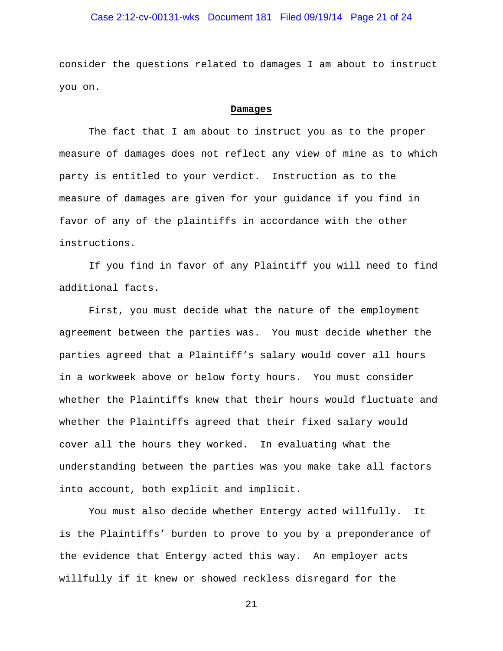## Case 2:12-cv-00131-wks Document 181 Filed 09/19/14 Page 21 of 24

consider the questions related to damages I am about to instruct you on.

#### **Damages**

The fact that I am about to instruct you as to the proper measure of damages does not reflect any view of mine as to which party is entitled to your verdict. Instruction as to the measure of damages are given for your guidance if you find in favor of any of the plaintiffs in accordance with the other instructions.

If you find in favor of any Plaintiff you will need to find additional facts.

 First, you must decide what the nature of the employment agreement between the parties was. You must decide whether the parties agreed that a Plaintiff's salary would cover all hours in a workweek above or below forty hours. You must consider whether the Plaintiffs knew that their hours would fluctuate and whether the Plaintiffs agreed that their fixed salary would cover all the hours they worked. In evaluating what the understanding between the parties was you make take all factors into account, both explicit and implicit.

 You must also decide whether Entergy acted willfully. It is the Plaintiffs' burden to prove to you by a preponderance of the evidence that Entergy acted this way. An employer acts willfully if it knew or showed reckless disregard for the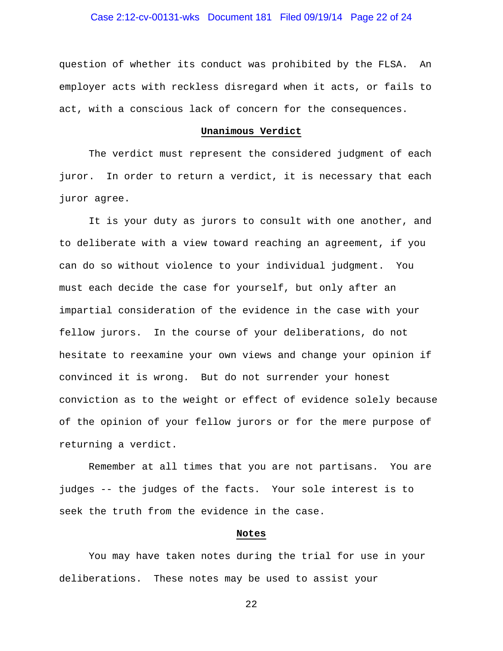## Case 2:12-cv-00131-wks Document 181 Filed 09/19/14 Page 22 of 24

question of whether its conduct was prohibited by the FLSA. An employer acts with reckless disregard when it acts, or fails to act, with a conscious lack of concern for the consequences.

#### **Unanimous Verdict**

 The verdict must represent the considered judgment of each juror. In order to return a verdict, it is necessary that each juror agree.

 It is your duty as jurors to consult with one another, and to deliberate with a view toward reaching an agreement, if you can do so without violence to your individual judgment. You must each decide the case for yourself, but only after an impartial consideration of the evidence in the case with your fellow jurors. In the course of your deliberations, do not hesitate to reexamine your own views and change your opinion if convinced it is wrong. But do not surrender your honest conviction as to the weight or effect of evidence solely because of the opinion of your fellow jurors or for the mere purpose of returning a verdict.

 Remember at all times that you are not partisans. You are judges -- the judges of the facts. Your sole interest is to seek the truth from the evidence in the case.

#### **Notes**

 You may have taken notes during the trial for use in your deliberations. These notes may be used to assist your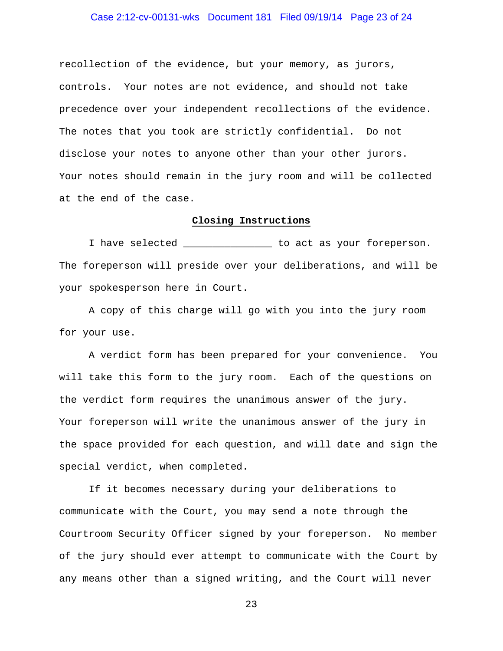## Case 2:12-cv-00131-wks Document 181 Filed 09/19/14 Page 23 of 24

recollection of the evidence, but your memory, as jurors, controls. Your notes are not evidence, and should not take precedence over your independent recollections of the evidence. The notes that you took are strictly confidential. Do not disclose your notes to anyone other than your other jurors. Your notes should remain in the jury room and will be collected at the end of the case.

#### **Closing Instructions**

 I have selected \_\_\_\_\_\_\_\_\_\_\_\_\_\_\_ to act as your foreperson. The foreperson will preside over your deliberations, and will be your spokesperson here in Court.

 A copy of this charge will go with you into the jury room for your use.

 A verdict form has been prepared for your convenience. You will take this form to the jury room. Each of the questions on the verdict form requires the unanimous answer of the jury. Your foreperson will write the unanimous answer of the jury in the space provided for each question, and will date and sign the special verdict, when completed.

 If it becomes necessary during your deliberations to communicate with the Court, you may send a note through the Courtroom Security Officer signed by your foreperson. No member of the jury should ever attempt to communicate with the Court by any means other than a signed writing, and the Court will never